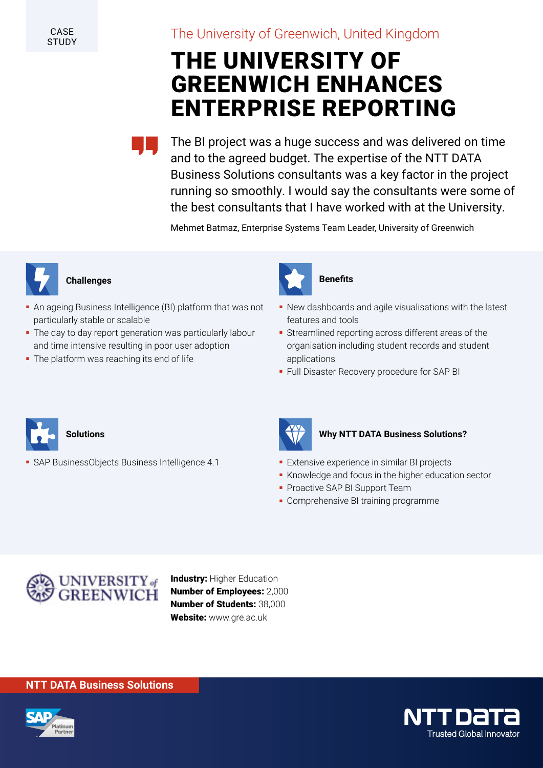CASE **STUDY** 

# The University of Greenwich, United Kingdom

# THE UNIVERSITY OF GREENWICH ENHANCES ENTERPRISE REPORTING

The BI project was a huge success and was delivered on time and to the agreed budget. The expertise of the NTT DATA Business Solutions consultants was a key factor in the project running so smoothly. I would say the consultants were some of the best consultants that I have worked with at the University.

Mehmet Batmaz, Enterprise Systems Team Leader, University of Greenwich



## **Challenges**

- An ageing Business Intelligence (BI) platform that was not particularly stable or scalable
- The day to day report generation was particularly labour and time intensive resulting in poor user adoption
- The platform was reaching its end of life



### **Benefits**

- New dashboards and agile visualisations with the latest features and tools
- Streamlined reporting across different areas of the organisation including student records and student applications
- Full Disaster Recovery procedure for SAP BI



**Solutions**

- SAP BusinessObjects Business Intelligence 4.1



#### **Why NTT DATA Business Solutions?**

- Extensive experience in similar BI projects
- Knowledge and focus in the higher education sector
- **Proactive SAP BI Support Team**
- Comprehensive BI training programme



**Industry: Higher Education** Number of Employees: 2,000 Number of Students: 38,000 Website: www.gre.ac.uk

#### **NTT DATA Business Solutions**